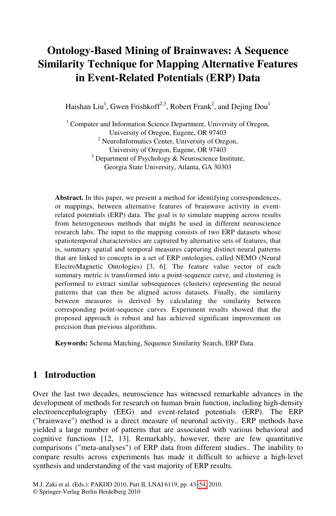# **Ontology-Based Mining of Brainwaves: A Sequence Similarity Technique for Mapping Alternative Features in Event-Related Potentials (ERP) Data**

Haishan Liu<sup>1</sup>, Gwen Frishkoff<sup>2,3</sup>, Robert Frank<sup>2</sup>, and Dejing Dou<sup>1</sup>

<sup>1</sup> Computer and Information Science Department, University of Oregon, University of Oregon, Eugene, OR 97403<br><sup>2</sup> NeuroInformatics Center, University of Oregon, University of Oregon, Eugene, OR 97403  $3$  Department of Psychology & Neuroscience Institute, Georgia State University, Atlanta, GA 30303

**Abstract.** In this paper, we present a method for identifying correspondences, or mappings, between alternative features of brainwave activity in eventrelated potentials (ERP) data. The goal is to simulate mapping across results from heterogeneous methods that might be used in different neuroscience research labs. The input to the mapping consists of two ERP datasets whose spatiotemporal characteristics are captured by alternative sets of features, that is, summary spatial and temporal measures capturing distinct neural patterns that are linked to concepts in a set of ERP ontologies, called NEMO (Neural ElectroMagnetic Ontologies) [3, 6]. The feature value vector of each summary metric is transformed into a point-sequence curve, and clustering is performed to extract similar subsequences (clusters) representing the neural patterns that can then be aligned across datasets. Finally, the similarity between measures is derived by calculating the similarity between corresponding point-sequence curves. Experiment results showed that the proposed approach is robust and has achieved significant improvement on precision than previous algorithms.

**Keywords:** Schema Matching, Sequence Similarity Search, ERP Data.

# **1 Introduction**

Over the last two decades, neuroscience has witnessed remarkable advances in the development of methods for research on human brain function, including high-density electroencephalography (EEG[\) a](#page-11-0)nd event-related potentials (ERP). The ERP ("brainwave") method is a direct measure of neuronal activity.. ERP methods have yielded a large number of patterns that are associated with various behavioral and cognitive functions [12, 13]. Remarkably, however, there are few quantitative comparisons ("meta-analyses") of ERP data from different studies.. The inability to compare results across experiments has made it difficult to achieve a high-level synthesis and understanding of the vast majority of ERP results.

M.J. Zaki et al. (Eds.): PAKDD 2010, Part II, LNAI 6119, pp. 43–54, 2010. © Springer-Verlag Berlin Heidelberg 2010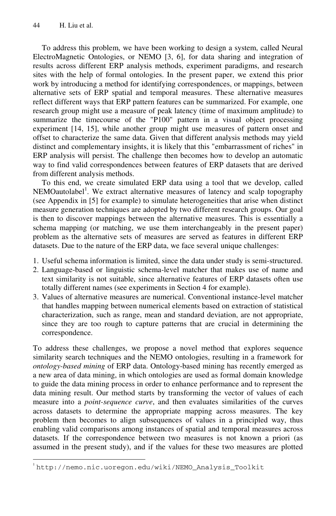l

To address this problem, we have been working to design a system, called Neural ElectroMagnetic Ontologies, or NEMO [3, 6], for data sharing and integration of results across different ERP analysis methods, experiment paradigms, and research sites with the help of formal ontologies. In the present paper, we extend this prior work by introducing a method for identifying correspondences, or mappings, between alternative sets of ERP spatial and temporal measures. These alternative measures reflect different ways that ERP pattern features can be summarized. For example, one research group might use a measure of peak latency (time of maximum amplitude) to summarize the timecourse of the "P100" pattern in a visual object processing experiment [14, 15], while another group might use measures of pattern onset and offset to characterize the same data. Given that different analysis methods may yield distinct and complementary insights, it is likely that this "embarrassment of riches" in ERP analysis will persist. The challenge then becomes how to develop an automatic way to find valid correspondences between features of ERP datasets that are derived from different analysis methods.

To this end, we create simulated ERP data using a tool that we develop, called NEMOautolabel<sup>1</sup>. We extract alternative measures of latency and scalp topography (see Appendix in [5] for example) to simulate heterogeneities that arise when distinct measure generation techniques are adopted by two different research groups. Our goal is then to discover mappings between the alternative measures. This is essentially a schema mapping (or matching, we use them interchangeably in the present paper) problem as the alternative sets of measures are served as features in different ERP datasets. Due to the nature of the ERP data, we face several unique challenges:

- 1. Useful schema information is limited, since the data under study is semi-structured.
- 2. Language-based or linguistic schema-level matcher that makes use of name and text similarity is not suitable, since alternative features of ERP datasets often use totally different names (see experiments in Section 4 for example).
- 3. Values of alternative measures are numerical. Conventional instance-level matcher that handles mapping between numerical elements based on extraction of statistical characterization, such as range, mean and standard deviation, are not appropriate, since they are too rough to capture patterns that are crucial in determining the correspondence.

To address these challenges, we propose a novel method that explores sequence similarity search techniques and the NEMO ontologies, resulting in a framework for *ontology-based mining* of ERP data. Ontology-based mining has recently emerged as a new area of data mining, in which ontologies are used as formal domain knowledge to guide the data mining process in order to enhance performance and to represent the data mining result. Our method starts by transforming the vector of values of each measure into a *point-sequence curve*, and then evaluates similarities of the curves across datasets to determine the appropriate mapping across measures. The key problem then becomes to align subsequences of values in a principled way, thus enabling valid comparisons among instances of spatial and temporal measures across datasets. If the correspondence between two measures is not known a priori (as assumed in the present study), and if the values for these two measures are plotted

<sup>1</sup> http://nemo.nic.uoregon.edu/wiki/NEMO\_Analysis\_Toolkit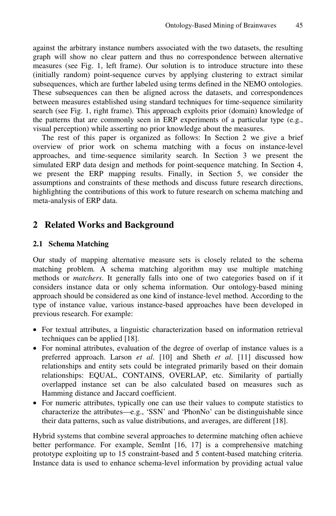against the arbitrary instance numbers associated with the two datasets, the resulting graph will show no clear pattern and thus no correspondence between alternative measures (see Fig. 1, left frame). Our solution is to introduce structure into these (initially random) point-sequence curves by applying clustering to extract similar subsequences, which are further labeled using terms defined in the NEMO ontologies. These subsequences can then be aligned across the datasets, and correspondences between measures established using standard techniques for time-sequence similarity search (see Fig. 1, right frame). This approach exploits prior (domain) knowledge of the patterns that are commonly seen in ERP experiments of a particular type (e.g., visual perception) while asserting no prior knowledge about the measures.

The rest of this paper is organized as follows: In Section 2 we give a brief overview of prior work on schema matching with a focus on instance-level approaches, and time-sequence similarity search. In Section 3 we present the simulated ERP data design and methods for point-sequence matching. In Section 4, we present the ERP mapping results. Finally, in Section 5, we consider the assumptions and constraints of these methods and discuss future research directions, highlighting the contributions of this work to future research on schema matching and meta-analysis of ERP data.

# **2 Related Works and Background**

### **2.1 Schema Matching**

Our study of mapping alternative measure sets is closely related to the schema matching problem. A schema matching algorithm may use multiple matching methods or *matchers*. It generally falls into one of two categories based on if it considers instance data or only schema information. Our ontology-based mining approach should be considered as one kind of instance-level method. According to the type of instance value, various instance-based approaches have been developed in previous research. For example:

- For textual attributes, a linguistic characterization based on information retrieval techniques can be applied [18].
- For nominal attributes, evaluation of the degree of overlap of instance values is a preferred approach. Larson *et al*. [10] and Sheth *et al*. [11] discussed how relationships and entity sets could be integrated primarily based on their domain relationships: EQUAL, CONTAINS, OVERLAP, etc. Similarity of partially overlapped instance set can be also calculated based on measures such as Hamming distance and Jaccard coefficient.
- For numeric attributes, typically one can use their values to compute statistics to characterize the attributes—e.g., 'SSN' and 'PhonNo' can be distinguishable since their data patterns, such as value distributions, and averages, are different [18].

Hybrid systems that combine several approaches to determine matching often achieve better performance. For example, SemInt [16, 17] is a comprehensive matching prototype exploiting up to 15 constraint-based and 5 content-based matching criteria. Instance data is used to enhance schema-level information by providing actual value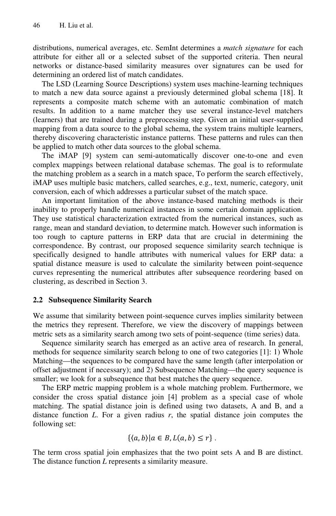distributions, numerical averages, etc. SemInt determines a *match signature* for each attribute for either all or a selected subset of the supported criteria. Then neural networks or distance-based similarity measures over signatures can be used for determining an ordered list of match candidates.

The LSD (Learning Source Descriptions) system uses machine-learning techniques to match a new data source against a previously determined global schema [18]. It represents a composite match scheme with an automatic combination of match results. In addition to a name matcher they use several instance-level matchers (learners) that are trained during a preprocessing step. Given an initial user-supplied mapping from a data source to the global schema, the system trains multiple learners, thereby discovering characteristic instance patterns. These patterns and rules can then be applied to match other data sources to the global schema.

The iMAP [9] system can semi-automatically discover one-to-one and even complex mappings between relational database schemas. The goal is to reformulate the matching problem as a search in a match space, To perform the search effectively, iMAP uses multiple basic matchers, called searches, e.g., text, numeric, category, unit conversion, each of which addresses a particular subset of the match space.

An important limitation of the above instance-based matching methods is their inability to properly handle numerical instances in some certain domain application. They use statistical characterization extracted from the numerical instances, such as range, mean and standard deviation, to determine match. However such information is too rough to capture patterns in ERP data that are crucial in determining the correspondence. By contrast, our proposed sequence similarity search technique is specifically designed to handle attributes with numerical values for ERP data: a spatial distance measure is used to calculate the similarity between point-sequence curves representing the numerical attributes after subsequence reordering based on clustering, as described in Section 3.

### **2.2 Subsequence Similarity Search**

We assume that similarity between point-sequence curves implies similarity between the metrics they represent. Therefore, we view the discovery of mappings between metric sets as a similarity search among two sets of point-sequence (time series) data.

Sequence similarity search has emerged as an active area of research. In general, methods for sequence similarity search belong to one of two categories [1]: 1) Whole Matching—the sequences to be compared have the same length (after interpolation or offset adjustment if necessary); and 2) Subsequence Matching—the query sequence is smaller; we look for a subsequence that best matches the query sequence.

The ERP metric mapping problem is a whole matching problem. Furthermore, we consider the cross spatial distance join [4] problem as a special case of whole matching. The spatial distance join is defined using two datasets, A and B, and a distance function *L*. For a given radius *r*, the spatial distance join computes the following set:

$$
\{\langle a,b\rangle | a\in B, L(a,b)\leq r\}\,.
$$

The term cross spatial join emphasizes that the two point sets A and B are distinct. The distance function *L* represents a similarity measure.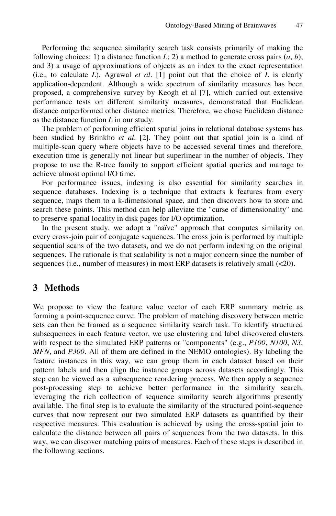Performing the sequence similarity search task consists primarily of making the following choices: 1) a distance function  $L$ ; 2) a method to generate cross pairs  $(a, b)$ ; and 3) a usage of approximations of objects as an index to the exact representation (i.e., to calculate *L*). Agrawal *et al*. [1] point out that the choice of *L* is clearly application-dependent. Although a wide spectrum of similarity measures has been proposed, a comprehensive survey by Keogh et al [7], which carried out extensive performance tests on different similarity measures, demonstrated that Euclidean distance outperformed other distance metrics. Therefore, we chose Euclidean distance as the distance function *L* in our study.

The problem of performing efficient spatial joins in relational database systems has been studied by Brinkho *et al*. [2]. They point out that spatial join is a kind of multiple-scan query where objects have to be accessed several times and therefore, execution time is generally not linear but superlinear in the number of objects. They propose to use the R-tree family to support efficient spatial queries and manage to achieve almost optimal I/O time.

For performance issues, indexing is also essential for similarity searches in sequence databases. Indexing is a technique that extracts k features from every sequence, maps them to a k-dimensional space, and then discovers how to store and search these points. This method can help alleviate the "curse of dimensionality" and to preserve spatial locality in disk pages for I/O optimization.

In the present study, we adopt a "naïve" approach that computes similarity on every cross-join pair of conjugate sequences. The cross join is performed by multiple sequential scans of the two datasets, and we do not perform indexing on the original sequences. The rationale is that scalability is not a major concern since the number of sequences (i.e., number of measures) in most ERP datasets is relatively small (<20).

### **3 Methods**

We propose to view the feature value vector of each ERP summary metric as forming a point-sequence curve. The problem of matching discovery between metric sets can then be framed as a sequence similarity search task. To identify structured subsequences in each feature vector, we use clustering and label discovered clusters with respect to the simulated ERP patterns or "components" (e.g., *P100*, *N100*, *N3*, *MFN*, and *P300*. All of them are defined in the NEMO ontologies). By labeling the feature instances in this way, we can group them in each dataset based on their pattern labels and then align the instance groups across datasets accordingly. This step can be viewed as a subsequence reordering process. We then apply a sequence post-processing step to achieve better performance in the similarity search, leveraging the rich collection of sequence similarity search algorithms presently available. The final step is to evaluate the similarity of the structured point-sequence curves that now represent our two simulated ERP datasets as quantified by their respective measures. This evaluation is achieved by using the cross-spatial join to calculate the distance between all pairs of sequences from the two datasets. In this way, we can discover matching pairs of measures. Each of these steps is described in the following sections.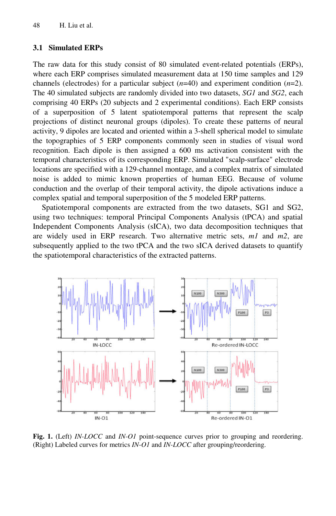#### **3.1 Simulated ERPs**

The raw data for this study consist of 80 simulated event-related potentials (ERPs), where each ERP comprises simulated measurement data at 150 time samples and 129 channels (electrodes) for a particular subject (*n*=40) and experiment condition (*n*=2). The 40 simulated subjects are randomly divided into two datasets, *SG1* and *SG2*, each comprising 40 ERPs (20 subjects and 2 experimental conditions). Each ERP consists of a superposition of 5 latent spatiotemporal patterns that represent the scalp projections of distinct neuronal groups (dipoles). To create these patterns of neural activity, 9 dipoles are located and oriented within a 3-shell spherical model to simulate the topographies of 5 ERP components commonly seen in studies of visual word recognition. Each dipole is then assigned a 600 ms activation consistent with the temporal characteristics of its corresponding ERP. Simulated "scalp-surface" electrode locations are specified with a 129-channel montage, and a complex matrix of simulated noise is added to mimic known properties of human EEG. Because of volume conduction and the overlap of their temporal activity, the dipole activations induce a complex spatial and temporal superposition of the 5 modeled ERP patterns.

Spatiotemporal components are extracted from the two datasets, SG1 and SG2, using two techniques: temporal Principal Components Analysis (tPCA) and spatial Independent Components Analysis (sICA), two data decomposition techniques that are widely used in ERP research. Two alternative metric sets, *m1* and *m2*, are subsequently applied to the two tPCA and the two sICA derived datasets to quantify the spatiotemporal characteristics of the extracted patterns.



**Fig. 1.** (Left) *IN-LOCC* and *IN-O1* point-sequence curves prior to grouping and reordering. (Right) Labeled curves for metrics *IN-O1* and *IN-LOCC* after grouping/reordering.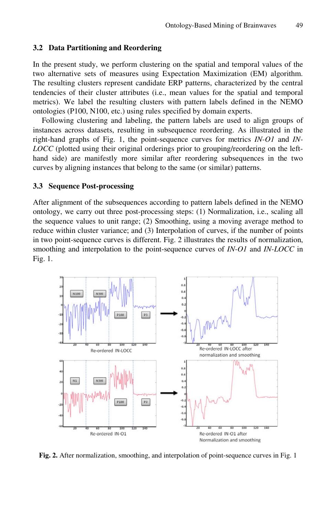#### **3.2 Data Partitioning and Reordering**

In the present study, we perform clustering on the spatial and temporal values of the two alternative sets of measures using Expectation Maximization (EM) algorithm. The resulting clusters represent candidate ERP patterns, characterized by the central tendencies of their cluster attributes (i.e., mean values for the spatial and temporal metrics). We label the resulting clusters with pattern labels defined in the NEMO ontologies (P100, N100, etc.) using rules specified by domain experts.

Following clustering and labeling, the pattern labels are used to align groups of instances across datasets, resulting in subsequence reordering. As illustrated in the right-hand graphs of Fig. 1, the point-sequence curves for metrics *IN-O1* and *IN-LOCC* (plotted using their original orderings prior to grouping/reordering on the lefthand side) are manifestly more similar after reordering subsequences in the two curves by aligning instances that belong to the same (or similar) patterns.

#### **3.3 Sequence Post-processing**

After alignment of the subsequences according to pattern labels defined in the NEMO ontology, we carry out three post-processing steps: (1) Normalization, i.e., scaling all the sequence values to unit range; (2) Smoothing, using a moving average method to reduce within cluster variance; and (3) Interpolation of curves, if the number of points in two point-sequence curves is different. Fig. 2 illustrates the results of normalization, smoothing and interpolation to the point-sequence curves of *IN-O1* and *IN-LOCC* in Fig. 1.



**Fig. 2.** After normalization, smoothing, and interpolation of point-sequence curves in Fig. 1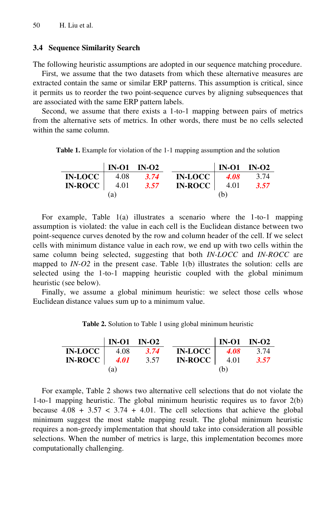#### **3.4 Sequence Similarity Search**

The following heuristic assumptions are adopted in our sequence matching procedure.

First, we assume that the two datasets from which these alternative measures are extracted contain the same or similar ERP patterns. This assumption is critical, since it permits us to reorder the two point-sequence curves by aligning subsequences that are associated with the same ERP pattern labels.

Second, we assume that there exists a 1-to-1 mapping between pairs of metrics from the alternative sets of metrics. In other words, there must be no cells selected within the same column.

**Table 1.** Example for violation of the 1-1 mapping assumption and the solution

|                         | $\vert$ IN-O1 IN-O2 |      |                       | $IN-O1$ $IN-O2$ |           |
|-------------------------|---------------------|------|-----------------------|-----------------|-----------|
| <b>IN-LOCC</b>          | 4.08                | 3.74 | <b>IN-LOCC</b>        |                 | 4.08 3.74 |
| $IN\text{-}ROCC$   4.01 |                     | 3.57 | $IN\text{-}ROCC$ 4.01 |                 | 3.57      |
|                         | (a)                 |      |                       | (b)             |           |

For example, Table 1(a) illustrates a scenario where the 1-to-1 mapping assumption is violated: the value in each cell is the Euclidean distance between two point-sequence curves denoted by the row and column header of the cell. If we select cells with minimum distance value in each row, we end up with two cells within the same column being selected, suggesting that both *IN-LOCC* and *IN-ROCC* are mapped to *IN-O2* in the present case. Table 1(b) illustrates the solution: cells are selected using the 1-to-1 mapping heuristic coupled with the global minimum heuristic (see below).

Finally, we assume a global minimum heuristic: we select those cells whose Euclidean distance values sum up to a minimum value.

**Table 2.** Solution to Table 1 using global minimum heuristic

|                  | $\vert$ IN-O1 IN-O2 |      |                | $\vert$ IN-O1 IN-O2 |      |
|------------------|---------------------|------|----------------|---------------------|------|
| <b>IN-LOCC</b>   | 4.08                | 3.74 | <b>IN-LOCC</b> | <b>4.08</b>         | 3.74 |
| $IN-ROCC$   4.01 |                     | 3.57 | $IN-ROCC$      | 4.01                | 3.57 |
|                  | (a)                 |      |                | (b)                 |      |

For example, Table 2 shows two alternative cell selections that do not violate the 1-to-1 mapping heuristic. The global minimum heuristic requires us to favor 2(b) because  $4.08 + 3.57 < 3.74 + 4.01$ . The cell selections that achieve the global minimum suggest the most stable mapping result. The global minimum heuristic requires a non-greedy implementation that should take into consideration all possible selections. When the number of metrics is large, this implementation becomes more computationally challenging.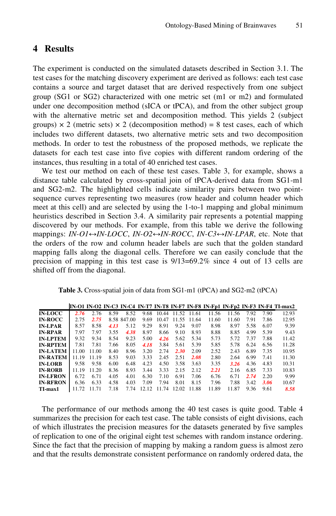## **4 Results**

The experiment is conducted on the simulated datasets described in Section 3.1. The test cases for the matching discovery experiment are derived as follows: each test case contains a source and target dataset that are derived respectively from one subject group (SG1 or SG2) characterized with one metric set (m1 or m2) and formulated under one decomposition method (sICA or tPCA), and from the other subject group with the alternative metric set and decomposition method. This yields 2 (subject groups)  $\times$  2 (metric sets)  $\times$  2 (decomposition method) = 8 test cases, each of which includes two different datasets, two alternative metric sets and two decomposition methods. In order to test the robustness of the proposed methods, we replicate the datasets for each test case into five copies with different random ordering of the instances, thus resulting in a total of 40 enriched test cases.

We test our method on each of these test cases. Table 3, for example, shows a distance table calculated by cross-spatial join of tPCA-derived data from SG1-m1 and SG2-m2. The highlighted cells indicate similarity pairs between two pointsequence curves representing two measures (row header and column header which meet at this cell) and are selected by using the 1-to-1 mapping and global minimum heuristics described in Section 3.4. A similarity pair represents a potential mapping discovered by our methods. For example, from this table we derive the following mappings: *IN-O1↔IN-LOCC*, *IN-O2↔IN-ROCC*, *IN-C3↔IN-LPAR*, etc. Note that the orders of the row and column header labels are such that the golden standard mapping falls along the diagonal cells. Therefore we can easily conclude that the precision of mapping in this test case is 9/13=69.2% since 4 out of 13 cells are shifted off from the diagonal.

|  |  |  |  | Table 3. Cross-spatial join of data from SG1-m1 (tPCA) and SG2-m2 (tPCA) |  |
|--|--|--|--|--------------------------------------------------------------------------|--|
|--|--|--|--|--------------------------------------------------------------------------|--|

|                 |       |       |      |             |       |       |       |       |       |       |      |      | IN-01 IN-02 IN-C3 IN-C4 IN-T7 IN-T8 IN-F7 IN-F8 IN-Fp1 IN-Fp2 IN-F3 IN-F4 TI-max2 |
|-----------------|-------|-------|------|-------------|-------|-------|-------|-------|-------|-------|------|------|-----------------------------------------------------------------------------------|
| <b>IN-LOCC</b>  | 2.76  | 2.76  | 8.59 | 8.52        | 9.68  | 10.44 | 11.52 | 11.61 | 11.56 | 11.56 | 7.92 | 7.90 | 12.93                                                                             |
| <b>IN-ROCC</b>  | 2.75  | 2.75  |      | 8.58 847.00 | 9.69  | 10.47 | 11.55 | 11.64 | 11.60 | 11.60 | 7.91 | 7.86 | 12.95                                                                             |
| <b>IN-LPAR</b>  | 8.57  | 8.58  | 4.13 | 5.12        | 9.29  | 8.91  | 9.24  | 9.07  | 8.98  | 8.97  | 5.58 | 6.07 | 9.39                                                                              |
| <b>IN-RPAR</b>  | 7.97  | 7.97  | 3.55 | 4.38        | 8.97  | 8.66  | 9.10  | 8.93  | 8.88  | 8.85  | 4.99 | 5.39 | 9.43                                                                              |
| <b>IN-LPTEM</b> | 9.32  | 9.34  | 8.54 | 9.23        | 5.00  | 4.26  | 5.62  | 5.34  | 5.73  | 5.72  | 7.37 | 7.88 | 11.42                                                                             |
| <b>IN-RPTEM</b> | 7.81  | 7.81  | 7.66 | 8.05        | 4.18  | 3.84  | 5.61  | 5.39  | 5.85  | 5.78  | 6.24 | 6.56 | 11.28                                                                             |
| <b>IN-LATEM</b> | 11.00 | 11.00 | 8.40 | 8.96        | 3.20  | 2.74  | 2.30  | 2.09  | 2.52  | 2.43  | 6.89 | 7.35 | 10.95                                                                             |
| <b>IN-RATEM</b> | 11.19 | 11.19 | 8.53 | 9.03        | 3.33  | 2.45  | 2.51  | 2.08  | 2.80  | 2.64  | 6.99 | 7.41 | 11.30                                                                             |
| <b>IN-LORB</b>  | 9.58  | 9.58  | 6.00 | 6.48        | 4.23  | 4.50  | 3.58  | 3.63  | 3.35  | 3.26  | 4.36 | 4.83 | 10.31                                                                             |
| <b>IN-RORB</b>  | 11.19 | 11.20 | 8.36 | 8.93        | 3.44  | 3.33  | 2.15  | 2.12  | 2.21  | 2.16  | 6.85 | 7.33 | 10.83                                                                             |
| <b>IN-LFRON</b> | 6.72  | 6.71  | 4.05 | 4.01        | 6.30  | 7.10  | 6.91  | 7.06  | 6.76  | 6.71  | 2.74 | 2.20 | 9.99                                                                              |
| <b>IN-RFRON</b> | 6.36  | 6.33  | 4.58 | 4.03        | 7.09  | 7.94  | 8.01  | 8.15  | 7.96  | 7.88  | 3.42 | 3.06 | 10.67                                                                             |
| TI-max1         | 11.72 | 11.71 | 7.18 | 7.74        | 12.12 | 11.74 | 12.02 | 11.88 | 11.89 | 11.87 | 9.36 | 9.61 | 8.58                                                                              |

The performance of our methods among the 40 test cases is quite good. Table 4 summarizes the precision for each test case. The table consists of eight divisions, each of which illustrates the precision measures for the datasets generated by five samples of replication to one of the original eight test schemes with random instance ordering. Since the fact that the precision of mapping by making a random guess is almost zero and that the results demonstrate consistent performance on randomly ordered data, the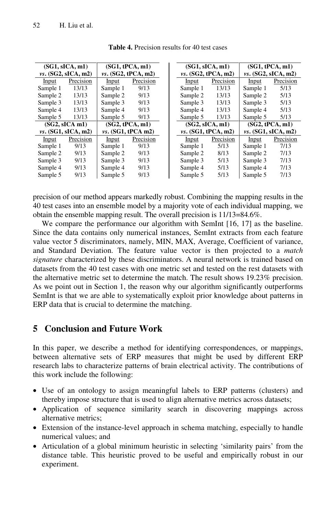| (SG1, SICA, m1)       |           | (SG1, tPCA, m1)       |           |  |                       | (SG1, SICA, m1) | (SG1, tPCA, m1)       |           |  |
|-----------------------|-----------|-----------------------|-----------|--|-----------------------|-----------------|-----------------------|-----------|--|
| $vs.$ (SG2, sICA, m2) |           | $vs.$ (SG2, tPCA, m2) |           |  | $vs.$ (SG2, tPCA, m2) |                 | $vs.$ (SG2, sICA, m2) |           |  |
| Input                 | Precision | Input                 | Precision |  | Precision<br>Input    |                 | Input                 | Precision |  |
| Sample 1              | 13/13     | Sample 1              | 9/13      |  | Sample 1              | 13/13           | Sample 1              | 5/13      |  |
| Sample 2              | 13/13     | Sample 2              | 9/13      |  | Sample 2              | 13/13           | Sample 2              | 5/13      |  |
| Sample 3              | 13/13     | Sample 3              | 9/13      |  | Sample 3              | 13/13           | Sample 3              | 5/13      |  |
| Sample 4              | 13/13     | Sample 4              | 9/13      |  | Sample 4              | 13/13           | Sample 4              | 5/13      |  |
| Sample 5              | 13/13     | Sample 5              | 9/13      |  | Sample 5              | 13/13           | Sample 5              | 5/13      |  |
| $(SG2, sICA \, ml)$   |           | (SG2, tPCA, m1)       |           |  |                       | (SG2, sICA, m1) | (SG2, tPCA, m1)       |           |  |
| $vs.$ (SG1, sICA, m2) |           | $vs.$ (SG1, tPCA m2)  |           |  | $vs.$ (SG1, tPCA, m2) |                 | $vs.$ (SG1, sICA, m2) |           |  |
| Input                 | Precision | Input                 | Precision |  | Input                 | Precision       | Input                 | Precision |  |
| Sample 1              | 9/13      | Sample 1              | 9/13      |  | Sample 1              | 5/13            | Sample 1              | 7/13      |  |
| Sample 2              | 9/13      | Sample 2              | 9/13      |  | Sample 2              | 8/13            | Sample 2              | 7/13      |  |
| Sample 3              | 9/13      | Sample 3              | 9/13      |  | Sample 3              | 5/13            | Sample 3              | 7/13      |  |
| Sample 4              | 9/13      | Sample 4              | 9/13      |  | Sample 4              | 5/13            | Sample 4              | 7/13      |  |
| Sample 5              | 9/13      | Sample 5              | 9/13      |  | Sample 5              | 5/13            | Sample 5              | 7/13      |  |

**Table 4.** Precision results for 40 test cases

precision of our method appears markedly robust. Combining the mapping results in the 40 test cases into an ensemble model by a majority vote of each individual mapping, we obtain the ensemble mapping result. The overall precision is 11/13=84.6%.

We compare the performance our algorithm with SemInt [16, 17] as the baseline. Since the data contains only numerical instances, SemInt extracts from each feature value vector 5 discriminators, namely, MIN, MAX, Average, Coefficient of variance, and Standard Deviation. The feature value vector is then projected to a *match signature* characterized by these discriminators. A neural network is trained based on datasets from the 40 test cases with one metric set and tested on the rest datasets with the alternative metric set to determine the match. The result shows 19.23% precision. As we point out in Section 1, the reason why our algorithm significantly outperforms SemInt is that we are able to systematically exploit prior knowledge about patterns in ERP data that is crucial to determine the matching.

# **5 Conclusion and Future Work**

In this paper, we describe a method for identifying correspondences, or mappings, between alternative sets of ERP measures that might be used by different ERP research labs to characterize patterns of brain electrical activity. The contributions of this work include the following:

- Use of an ontology to assign meaningful labels to ERP patterns (clusters) and thereby impose structure that is used to align alternative metrics across datasets;
- Application of sequence similarity search in discovering mappings across alternative metrics;
- Extension of the instance-level approach in schema matching, especially to handle numerical values; and
- Articulation of a global minimum heuristic in selecting 'similarity pairs' from the distance table. This heuristic proved to be useful and empirically robust in our experiment.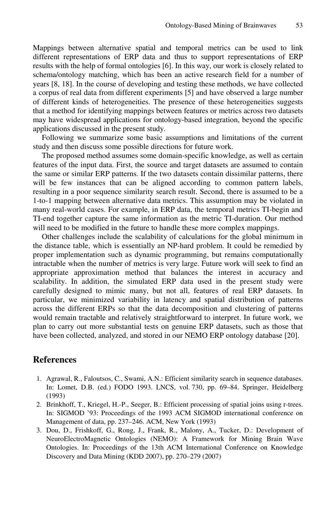Mappings between alternative spatial and temporal metrics can be used to link different representations of ERP data and thus to support representations of ERP results with the help of formal ontologies [6]. In this way, our work is closely related to schema/ontology matching, which has been an active research field for a number of years [8, 18]. In the course of developing and testing these methods, we have collected a corpus of real data from different experiments [5] and have observed a large number of different kinds of heterogeneities. The presence of these heterogeneities suggests that a method for identifying mappings between features or metrics across two datasets may have widespread applications for ontology-based integration, beyond the specific applications discussed in the present study.

Following we summarize some basic assumptions and limitations of the current study and then discuss some possible directions for future work.

The proposed method assumes some domain-specific knowledge, as well as certain features of the input data. First, the source and target datasets are assumed to contain the same or similar ERP patterns. If the two datasets contain dissimilar patterns, there will be few instances that can be aligned according to common pattern labels, resulting in a poor sequence similarity search result. Second, there is assumed to be a 1-to-1 mapping between alternative data metrics. This assumption may be violated in many real-world cases. For example, in ERP data, the temporal metrics TI-begin and TI-end together capture the same information as the metric TI-duration. Our method will need to be modified in the future to handle these more complex mappings.

Other challenges include the scalability of calculations for the global minimum in the distance table, which is essentially an NP-hard problem. It could be remedied by proper implementation such as dynamic programming, but remains computationally intractable when the number of metrics is very large. Future work will seek to find an appropriate approximation method that balances the interest in accuracy and scalability. In addition, the simulated ERP data used in the present study were carefully designed to mimic many, but not all, features of real ERP datasets. In particular, we minimized variability in latency and spatial distribution of patterns across the different ERPs so that the data decomposition and clustering of patterns would remain tractable and relatively straightforward to interpret. In future work, we plan to carry out more substantial tests on genuine ERP datasets, such as those that have been collected, analyzed, and stored in our NEMO ERP ontology database [20].

### **References**

- 1. Agrawal, R., Faloutsos, C., Swami, A.N.: Efficient similarity search in sequence databases. In: Lomet, D.B. (ed.) FODO 1993. LNCS, vol. 730, pp. 69–84. Springer, Heidelberg (1993)
- 2. Brinkhoff, T., Kriegel, H.-P., Seeger, B.: Efficient processing of spatial joins using r-trees. In: SIGMOD '93: Proceedings of the 1993 ACM SIGMOD international conference on Management of data, pp. 237–246. ACM, New York (1993)
- 3. Dou, D., Frishkoff, G., Rong, J., Frank, R., Malony, A., Tucker, D.: Development of NeuroElectroMagnetic Ontologies (NEMO): A Framework for Mining Brain Wave Ontologies. In: Proceedings of the 13th ACM International Conference on Knowledge Discovery and Data Mining (KDD 2007), pp. 270–279 (2007)